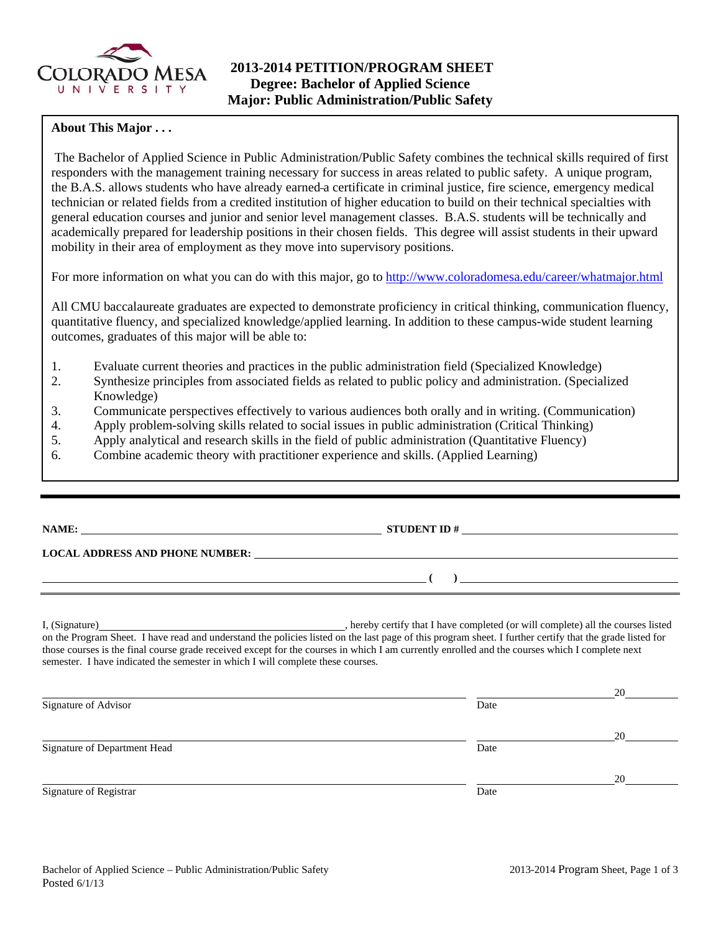

## **About This Major . . .**

The Bachelor of Applied Science in Public Administration/Public Safety combines the technical skills required of first responders with the management training necessary for success in areas related to public safety. A unique program, the B.A.S. allows students who have already earned a certificate in criminal justice, fire science, emergency medical technician or related fields from a credited institution of higher education to build on their technical specialties with general education courses and junior and senior level management classes. B.A.S. students will be technically and academically prepared for leadership positions in their chosen fields. This degree will assist students in their upward mobility in their area of employment as they move into supervisory positions.

For more information on what you can do with this major, go to http://www.coloradomesa.edu/career/whatmajor.html

All CMU baccalaureate graduates are expected to demonstrate proficiency in critical thinking, communication fluency, quantitative fluency, and specialized knowledge/applied learning. In addition to these campus-wide student learning outcomes, graduates of this major will be able to:

- 1. Evaluate current theories and practices in the public administration field (Specialized Knowledge)
- 2. Synthesize principles from associated fields as related to public policy and administration. (Specialized Knowledge)
- 3. Communicate perspectives effectively to various audiences both orally and in writing. (Communication)
- 4. Apply problem-solving skills related to social issues in public administration (Critical Thinking)
- 5. Apply analytical and research skills in the field of public administration (Quantitative Fluency)
- 6. Combine academic theory with practitioner experience and skills. (Applied Learning)

| NAME:                                  | <b>STUDENT ID#</b> |
|----------------------------------------|--------------------|
|                                        |                    |
| <b>LOCAL ADDRESS AND PHONE NUMBER:</b> |                    |
|                                        |                    |

I, (Signature) , hereby certify that I have completed (or will complete) all the courses listed on the Program Sheet. I have read and understand the policies listed on the last page of this program sheet. I further certify that the grade listed for those courses is the final course grade received except for the courses in which I am currently enrolled and the courses which I complete next semester. I have indicated the semester in which I will complete these courses.

|                              |      | 20 |
|------------------------------|------|----|
| Signature of Advisor         | Date |    |
|                              |      | 20 |
| Signature of Department Head | Date |    |
|                              |      | 20 |
| Signature of Registrar       | Date |    |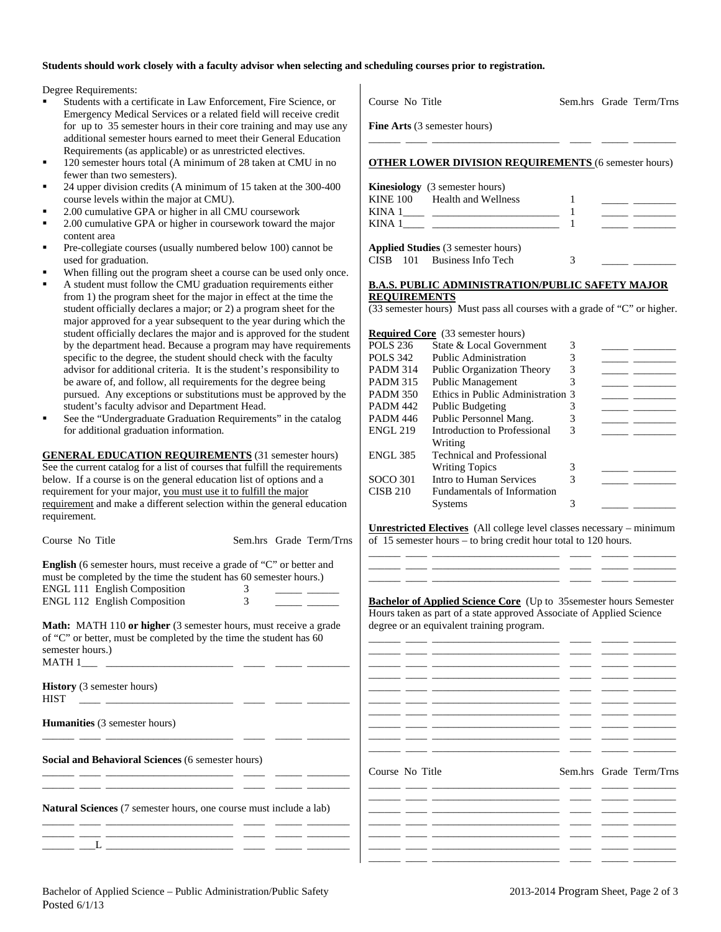## **Students should work closely with a faculty advisor when selecting and scheduling courses prior to registration.**

Degree Requirements:

- Students with a certificate in Law Enforcement, Fire Science, or Emergency Medical Services or a related field will receive credit for up to 35 semester hours in their core training and may use any additional semester hours earned to meet their General Education Requirements (as applicable) or as unrestricted electives.
- 120 semester hours total (A minimum of 28 taken at CMU in no fewer than two semesters).
- 24 upper division credits (A minimum of 15 taken at the 300-400 course levels within the major at CMU).
- 2.00 cumulative GPA or higher in all CMU coursework
- 2.00 cumulative GPA or higher in coursework toward the major content area
- Pre-collegiate courses (usually numbered below 100) cannot be used for graduation.
- When filling out the program sheet a course can be used only once.
- A student must follow the CMU graduation requirements either from 1) the program sheet for the major in effect at the time the student officially declares a major; or 2) a program sheet for the major approved for a year subsequent to the year during which the student officially declares the major and is approved for the student by the department head. Because a program may have requirements specific to the degree, the student should check with the faculty advisor for additional criteria. It is the student's responsibility to be aware of, and follow, all requirements for the degree being pursued. Any exceptions or substitutions must be approved by the student's faculty advisor and Department Head.
- See the "Undergraduate Graduation Requirements" in the catalog for additional graduation information.

**GENERAL EDUCATION REQUIREMENTS** (31 semester hours) See the current catalog for a list of courses that fulfill the requirements below. If a course is on the general education list of options and a requirement for your major, you must use it to fulfill the major requirement and make a different selection within the general education requirement.

Course No Title Sem.hrs Grade Term/Trns

| <b>English</b> (6 semester hours, must receive a grade of "C" or better and |  |
|-----------------------------------------------------------------------------|--|
| must be completed by the time the student has 60 semester hours.)           |  |
| <b>ENGL 111 English Composition</b>                                         |  |
| <b>ENGL 112 English Composition</b>                                         |  |

**Math:** MATH 110 **or higher** (3 semester hours, must receive a grade of "C" or better, must be completed by the time the student has 60 semester hours.)  $MATH 1$ <sub>\_\_\_\_</sub> \_

\_\_\_\_\_\_ \_\_\_\_ \_\_\_\_\_\_\_\_\_\_\_\_\_\_\_\_\_\_\_\_\_\_\_\_ \_\_\_\_ \_\_\_\_\_ \_\_\_\_\_\_\_\_

\_\_\_\_\_\_ \_\_\_\_ \_\_\_\_\_\_\_\_\_\_\_\_\_\_\_\_\_\_\_\_\_\_\_\_ \_\_\_\_ \_\_\_\_\_ \_\_\_\_\_\_\_\_

\_\_\_\_\_\_ \_\_\_\_ \_\_\_\_\_\_\_\_\_\_\_\_\_\_\_\_\_\_\_\_\_\_\_\_ \_\_\_\_ \_\_\_\_\_ \_\_\_\_\_\_\_\_ \_\_\_\_\_\_ \_\_\_\_ \_\_\_\_\_\_\_\_\_\_\_\_\_\_\_\_\_\_\_\_\_\_\_\_ \_\_\_\_ \_\_\_\_\_ \_\_\_\_\_\_\_\_

\_\_\_\_\_\_ \_\_\_\_ \_\_\_\_\_\_\_\_\_\_\_\_\_\_\_\_\_\_\_\_\_\_\_\_ \_\_\_\_ \_\_\_\_\_ \_\_\_\_\_\_\_\_

**History** (3 semester hours)

 $_{-}$   $_{-}$   $_{-}$   $_{-}$   $_{-}$   $_{-}$ 

 $HIST \quad \_\_\_\_\_\_$ 

**Humanities** (3 semester hours)

**Social and Behavioral Sciences** (6 semester hours)

**Natural Sciences** (7 semester hours, one course must include a lab)

Course No Title Sem.hrs Grade Term/Trns **Fine Arts** (3 semester hours) \_\_\_\_\_\_ \_\_\_\_ \_\_\_\_\_\_\_\_\_\_\_\_\_\_\_\_\_\_\_\_\_\_\_\_ \_\_\_\_ \_\_\_\_\_ \_\_\_\_\_\_\_\_ **OTHER LOWER DIVISION REQUIREMENTS** (6 semester hours) **Kinesiology** (3 semester hours) KINE 100 Health and Wellness 1 KINA  $1$   $1$ KINA  $1 \_$   $\_$ 

**Applied Studies** (3 semester hours) CISB 101 Business Info Tech 3

## **B.A.S. PUBLIC ADMINISTRATION/PUBLIC SAFETY MAJOR REQUIREMENTS**

(33 semester hours) Must pass all courses with a grade of "C" or higher.

|                 | <b>Required Core</b> (33 semester hours) |   |  |
|-----------------|------------------------------------------|---|--|
| <b>POLS 236</b> | State & Local Government                 | 3 |  |
| <b>POLS</b> 342 | Public Administration                    |   |  |
| <b>PADM 314</b> | <b>Public Organization Theory</b>        | 3 |  |
| <b>PADM 315</b> | <b>Public Management</b>                 |   |  |
| <b>PADM 350</b> | Ethics in Public Administration 3        |   |  |
| <b>PADM 442</b> | <b>Public Budgeting</b>                  |   |  |
| <b>PADM 446</b> | Public Personnel Mang.                   |   |  |
| <b>ENGL 219</b> | Introduction to Professional             | 3 |  |
|                 | Writing                                  |   |  |
| <b>ENGL 385</b> | <b>Technical and Professional</b>        |   |  |
|                 | <b>Writing Topics</b>                    |   |  |
| SOCO 301        | Intro to Human Services                  | 3 |  |
| <b>CISB 210</b> | <b>Fundamentals of Information</b>       |   |  |
|                 | <b>Systems</b>                           | 3 |  |

**Unrestricted Electives** (All college level classes necessary – minimum of 15 semester hours – to bring credit hour total to 120 hours. \_\_\_\_\_\_ \_\_\_\_ \_\_\_\_\_\_\_\_\_\_\_\_\_\_\_\_\_\_\_\_\_\_\_\_ \_\_\_\_ \_\_\_\_\_ \_\_\_\_\_\_\_\_

\_\_\_\_\_\_ \_\_\_\_ \_\_\_\_\_\_\_\_\_\_\_\_\_\_\_\_\_\_\_\_\_\_\_\_ \_\_\_\_ \_\_\_\_\_ \_\_\_\_\_\_\_\_ \_\_\_\_\_\_ \_\_\_\_ \_\_\_\_\_\_\_\_\_\_\_\_\_\_\_\_\_\_\_\_\_\_\_\_ \_\_\_\_ \_\_\_\_\_ \_\_\_\_\_\_\_\_

**Bachelor of Applied Science Core** (Up to 35semester hours Semester Hours taken as part of a state approved Associate of Applied Science degree or an equivalent training program.

| Course No Title |  |  |  | Sem.hrs Grade Term/Trns |
|-----------------|--|--|--|-------------------------|
|                 |  |  |  |                         |
|                 |  |  |  |                         |
|                 |  |  |  |                         |
|                 |  |  |  |                         |
|                 |  |  |  |                         |
|                 |  |  |  |                         |